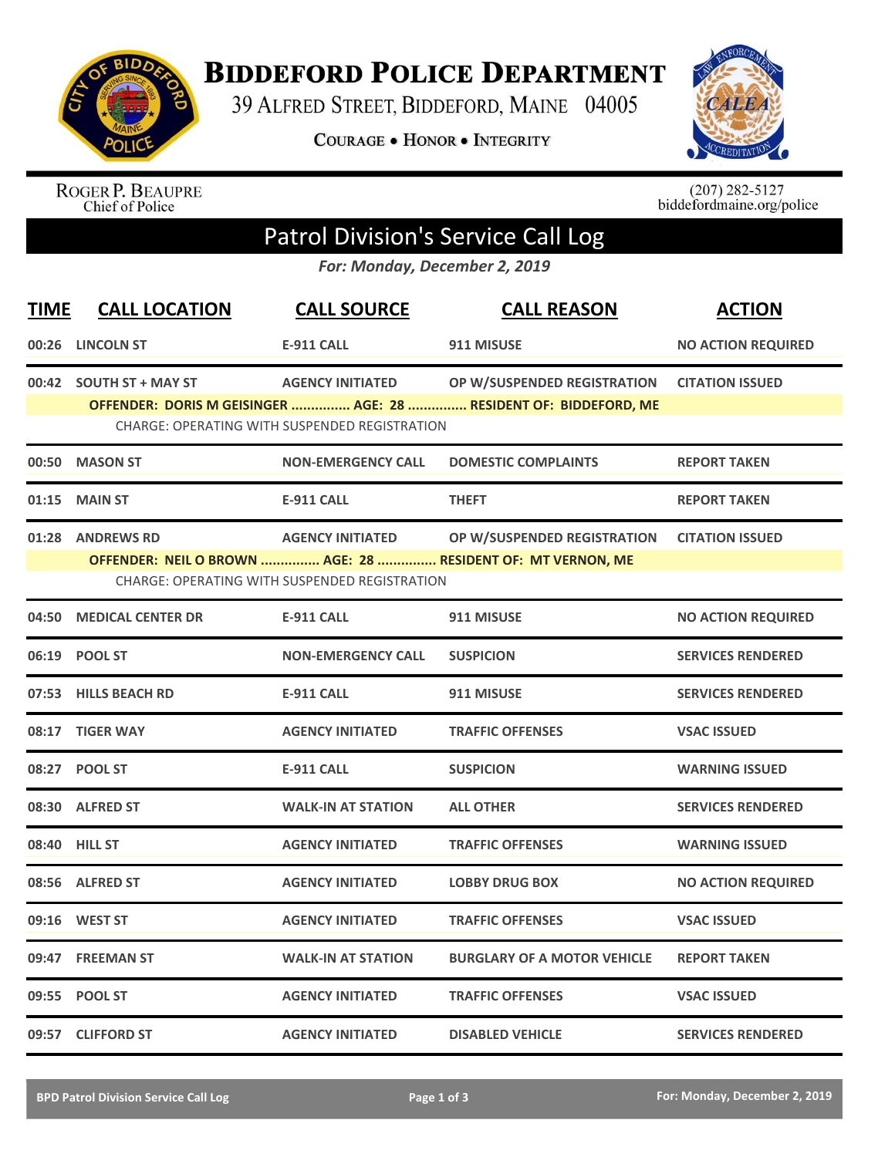

**BIDDEFORD POLICE DEPARTMENT** 

39 ALFRED STREET, BIDDEFORD, MAINE 04005

**COURAGE . HONOR . INTEGRITY** 



ROGER P. BEAUPRE<br>Chief of Police

 $(207)$  282-5127<br>biddefordmaine.org/police

## Patrol Division's Service Call Log

*For: Monday, December 2, 2019*

| <b>TIME</b> | <b>CALL LOCATION</b>     | <b>CALL SOURCE</b>                                   | <b>CALL REASON</b>                                               | <b>ACTION</b>             |
|-------------|--------------------------|------------------------------------------------------|------------------------------------------------------------------|---------------------------|
| 00:26       | <b>LINCOLN ST</b>        | <b>E-911 CALL</b>                                    | 911 MISUSE                                                       | <b>NO ACTION REQUIRED</b> |
|             | 00:42 SOUTH ST + MAY ST  | <b>AGENCY INITIATED</b>                              | OP W/SUSPENDED REGISTRATION                                      | <b>CITATION ISSUED</b>    |
|             |                          | <b>CHARGE: OPERATING WITH SUSPENDED REGISTRATION</b> | OFFENDER: DORIS M GEISINGER  AGE: 28  RESIDENT OF: BIDDEFORD, ME |                           |
|             |                          |                                                      |                                                                  |                           |
|             | 00:50 MASON ST           | <b>NON-EMERGENCY CALL</b>                            | <b>DOMESTIC COMPLAINTS</b>                                       | <b>REPORT TAKEN</b>       |
| 01:15       | <b>MAIN ST</b>           | <b>E-911 CALL</b>                                    | <b>THEFT</b>                                                     | <b>REPORT TAKEN</b>       |
|             | 01:28 ANDREWS RD         | <b>AGENCY INITIATED</b>                              | OP W/SUSPENDED REGISTRATION                                      | <b>CITATION ISSUED</b>    |
|             |                          |                                                      | OFFENDER: NEIL O BROWN  AGE: 28  RESIDENT OF: MT VERNON, ME      |                           |
|             |                          | CHARGE: OPERATING WITH SUSPENDED REGISTRATION        |                                                                  |                           |
| 04:50       | <b>MEDICAL CENTER DR</b> | <b>E-911 CALL</b>                                    | 911 MISUSE                                                       | <b>NO ACTION REQUIRED</b> |
|             | 06:19 POOL ST            | <b>NON-EMERGENCY CALL</b>                            | <b>SUSPICION</b>                                                 | <b>SERVICES RENDERED</b>  |
|             | 07:53 HILLS BEACH RD     | <b>E-911 CALL</b>                                    | 911 MISUSE                                                       | <b>SERVICES RENDERED</b>  |
|             | 08:17 TIGER WAY          | <b>AGENCY INITIATED</b>                              | <b>TRAFFIC OFFENSES</b>                                          | <b>VSAC ISSUED</b>        |
|             | 08:27 POOL ST            | <b>E-911 CALL</b>                                    | <b>SUSPICION</b>                                                 | <b>WARNING ISSUED</b>     |
|             | 08:30 ALFRED ST          | <b>WALK-IN AT STATION</b>                            | <b>ALL OTHER</b>                                                 | <b>SERVICES RENDERED</b>  |
|             | <b>08:40 HILL ST</b>     | <b>AGENCY INITIATED</b>                              | <b>TRAFFIC OFFENSES</b>                                          | <b>WARNING ISSUED</b>     |
|             | 08:56 ALFRED ST          | <b>AGENCY INITIATED</b>                              | <b>LOBBY DRUG BOX</b>                                            | <b>NO ACTION REQUIRED</b> |
|             | 09:16 WEST ST            | <b>AGENCY INITIATED</b>                              | <b>TRAFFIC OFFENSES</b>                                          | <b>VSAC ISSUED</b>        |
|             | 09:47 FREEMAN ST         | <b>WALK-IN AT STATION</b>                            | <b>BURGLARY OF A MOTOR VEHICLE</b>                               | <b>REPORT TAKEN</b>       |
|             | 09:55 POOL ST            | <b>AGENCY INITIATED</b>                              | <b>TRAFFIC OFFENSES</b>                                          | <b>VSAC ISSUED</b>        |
|             | 09:57 CLIFFORD ST        | <b>AGENCY INITIATED</b>                              | <b>DISABLED VEHICLE</b>                                          | <b>SERVICES RENDERED</b>  |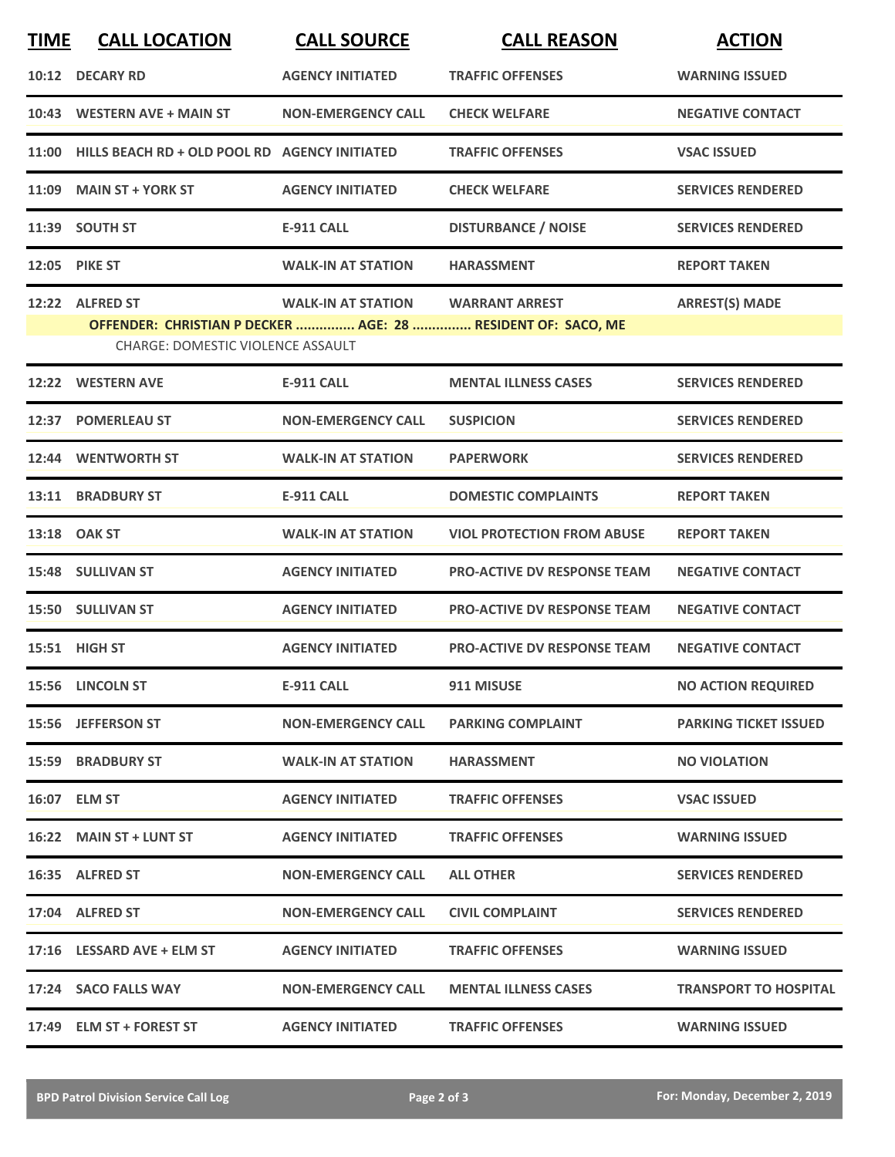| <b>TIME</b> | <b>CALL LOCATION</b>                                | <b>CALL SOURCE</b>        | <b>CALL REASON</b>                                           | <b>ACTION</b>                |
|-------------|-----------------------------------------------------|---------------------------|--------------------------------------------------------------|------------------------------|
|             | 10:12 DECARY RD                                     | <b>AGENCY INITIATED</b>   | <b>TRAFFIC OFFENSES</b>                                      | <b>WARNING ISSUED</b>        |
|             | 10:43 WESTERN AVE + MAIN ST                         | <b>NON-EMERGENCY CALL</b> | <b>CHECK WELFARE</b>                                         | <b>NEGATIVE CONTACT</b>      |
|             | 11:00 HILLS BEACH RD + OLD POOL RD AGENCY INITIATED |                           | <b>TRAFFIC OFFENSES</b>                                      | <b>VSAC ISSUED</b>           |
|             | 11:09 MAIN ST + YORK ST                             | <b>AGENCY INITIATED</b>   | <b>CHECK WELFARE</b>                                         | <b>SERVICES RENDERED</b>     |
|             | 11:39 SOUTH ST                                      | <b>E-911 CALL</b>         | <b>DISTURBANCE / NOISE</b>                                   | <b>SERVICES RENDERED</b>     |
|             | 12:05 PIKE ST                                       | <b>WALK-IN AT STATION</b> | <b>HARASSMENT</b>                                            | <b>REPORT TAKEN</b>          |
|             | 12:22 ALFRED ST                                     | <b>WALK-IN AT STATION</b> | <b>WARRANT ARREST</b>                                        | <b>ARREST(S) MADE</b>        |
|             | <b>CHARGE: DOMESTIC VIOLENCE ASSAULT</b>            |                           | OFFENDER: CHRISTIAN P DECKER  AGE: 28  RESIDENT OF: SACO, ME |                              |
|             | 12:22 WESTERN AVE                                   | E-911 CALL                | <b>MENTAL ILLNESS CASES</b>                                  | <b>SERVICES RENDERED</b>     |
|             | 12:37 POMERLEAU ST                                  | <b>NON-EMERGENCY CALL</b> | <b>SUSPICION</b>                                             | <b>SERVICES RENDERED</b>     |
|             | 12:44 WENTWORTH ST                                  | <b>WALK-IN AT STATION</b> | <b>PAPERWORK</b>                                             | <b>SERVICES RENDERED</b>     |
|             | 13:11 BRADBURY ST                                   | <b>E-911 CALL</b>         | <b>DOMESTIC COMPLAINTS</b>                                   | <b>REPORT TAKEN</b>          |
|             | 13:18 OAK ST                                        | <b>WALK-IN AT STATION</b> | <b>VIOL PROTECTION FROM ABUSE</b>                            | <b>REPORT TAKEN</b>          |
|             | 15:48 SULLIVAN ST                                   | <b>AGENCY INITIATED</b>   | <b>PRO-ACTIVE DV RESPONSE TEAM</b>                           | <b>NEGATIVE CONTACT</b>      |
|             | 15:50 SULLIVAN ST                                   | <b>AGENCY INITIATED</b>   | <b>PRO-ACTIVE DV RESPONSE TEAM</b>                           | <b>NEGATIVE CONTACT</b>      |
|             | 15:51 HIGH ST                                       | <b>AGENCY INITIATED</b>   | <b>PRO-ACTIVE DV RESPONSE TEAM</b>                           | <b>NEGATIVE CONTACT</b>      |
|             | 15:56 LINCOLN ST                                    | <b>E-911 CALL</b>         | 911 MISUSE                                                   | <b>NO ACTION REQUIRED</b>    |
|             | 15:56 JEFFERSON ST                                  | <b>NON-EMERGENCY CALL</b> | <b>PARKING COMPLAINT</b>                                     | <b>PARKING TICKET ISSUED</b> |
|             | <b>15:59 BRADBURY ST</b>                            | <b>WALK-IN AT STATION</b> | <b>HARASSMENT</b>                                            | <b>NO VIOLATION</b>          |
|             | 16:07 ELM ST                                        | <b>AGENCY INITIATED</b>   | <b>TRAFFIC OFFENSES</b>                                      | <b>VSAC ISSUED</b>           |
|             | 16:22 MAIN ST + LUNT ST                             | <b>AGENCY INITIATED</b>   | <b>TRAFFIC OFFENSES</b>                                      | <b>WARNING ISSUED</b>        |
|             | 16:35 ALFRED ST                                     | <b>NON-EMERGENCY CALL</b> | <b>ALL OTHER</b>                                             | <b>SERVICES RENDERED</b>     |
|             | 17:04 ALFRED ST                                     | <b>NON-EMERGENCY CALL</b> | <b>CIVIL COMPLAINT</b>                                       | <b>SERVICES RENDERED</b>     |
|             | 17:16 LESSARD AVE + ELM ST                          | <b>AGENCY INITIATED</b>   | <b>TRAFFIC OFFENSES</b>                                      | <b>WARNING ISSUED</b>        |
|             | 17:24 SACO FALLS WAY                                | <b>NON-EMERGENCY CALL</b> | <b>MENTAL ILLNESS CASES</b>                                  | <b>TRANSPORT TO HOSPITAL</b> |
|             | 17:49 ELM ST + FOREST ST                            | <b>AGENCY INITIATED</b>   | <b>TRAFFIC OFFENSES</b>                                      | <b>WARNING ISSUED</b>        |